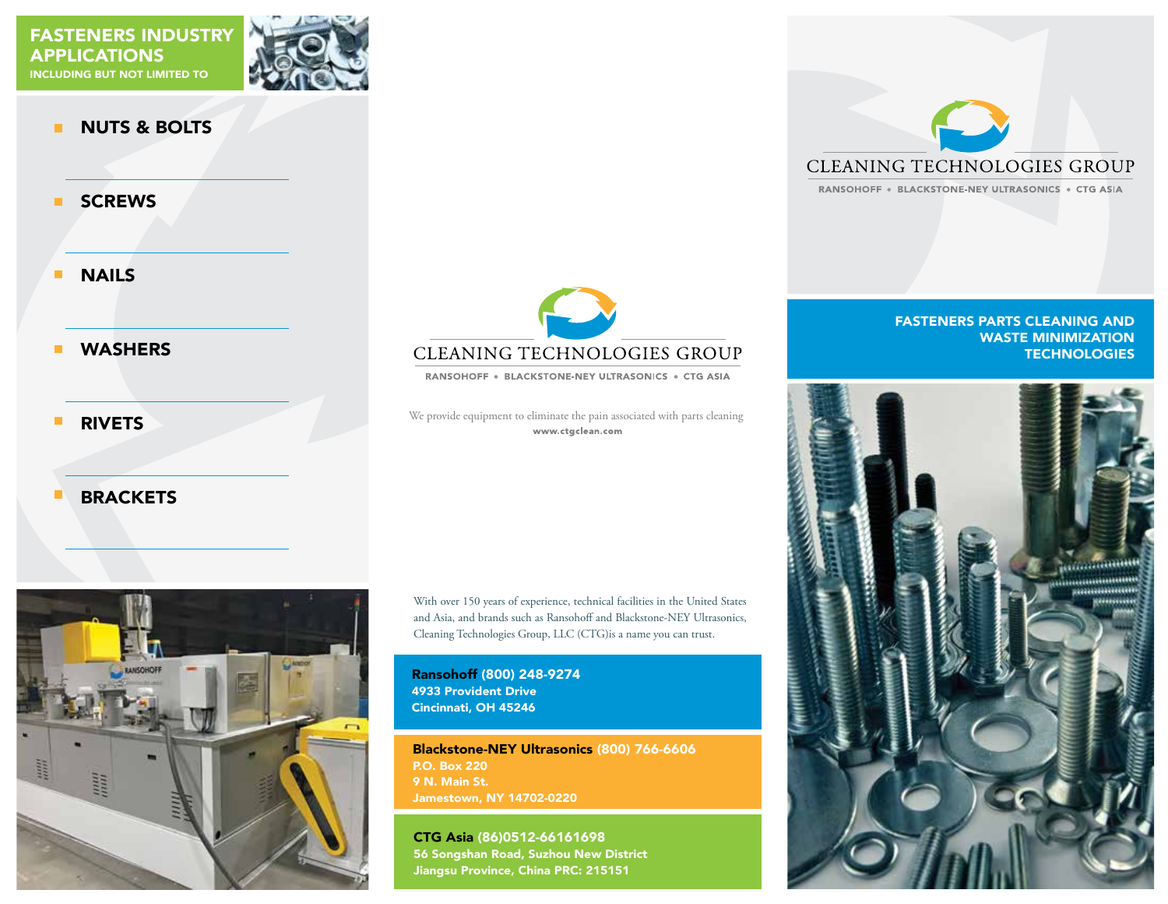

#### NUTS & BOLTS  $\blacksquare$

**SCREWS**  $\blacksquare$ 

 $\overline{\phantom{a}}$ NAILS

#### $\blacksquare$ WASHERS

 $\blacksquare$ RIVETS

#### **BRACKETS**  $\Box$



**CLEANING TECHNOLOGIES GROUP** 

RANSOHOFF . BLACKSTONE-NEY ULTRASONICS . CTG ASIA

We provide equipment to eliminate the pain associated with parts cleaning www.ctgclean.com

With over 150 years of experience, technical facilities in the United States and Asia, and brands such as Ransohoff and Blackstone-NEY Ultrasonics, Cleaning Technologies Group, LLC (CTG)is a name you can trust.

Ransohoff (800) 248-9274 4933 Provident Drive Cincinnati, OH 45246

Blackstone-NEY Ultrasonics (800) 766-6606 P.O. Box 220 9 N. Main St. Jamestown, NY 14702-0220

CTG Asia (86)0512-66161698 56 Songshan Road, Suzhou New District Jiangsu Province, China PRC: 215151



RANSOHOFF · BLACKSTONE-NEY ULTRASONICS · CTG ASIA

#### FASTENERS PARTS CLEANING AND WASTE MINIMIZATION **TECHNOLOGIES**